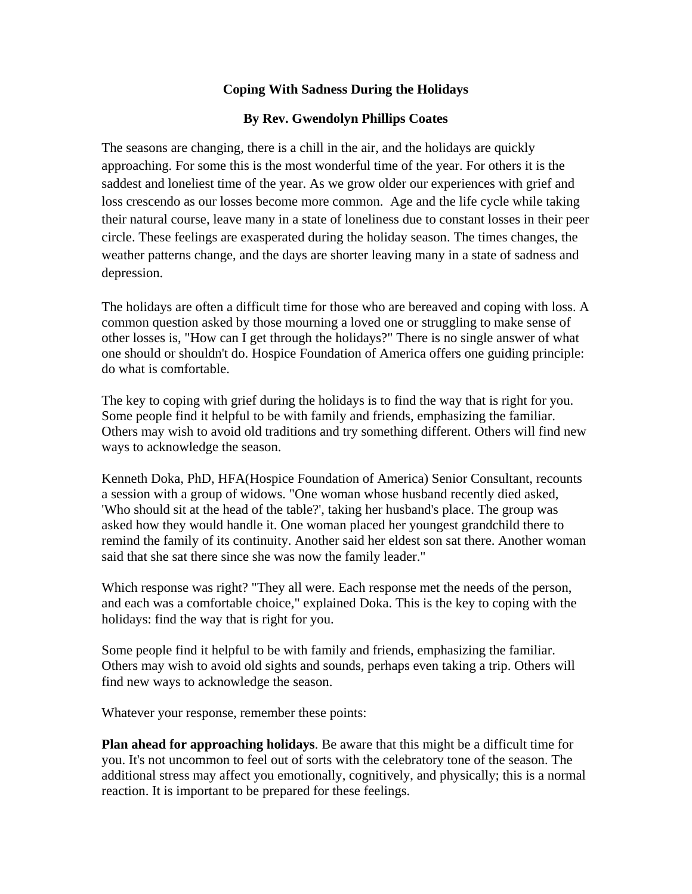## **Coping With Sadness During the Holidays**

## **By Rev. Gwendolyn Phillips Coates**

The seasons are changing, there is a chill in the air, and the holidays are quickly approaching. For some this is the most wonderful time of the year. For others it is the saddest and loneliest time of the year. As we grow older our experiences with grief and loss crescendo as our losses become more common. Age and the life cycle while taking their natural course, leave many in a state of loneliness due to constant losses in their peer circle. These feelings are exasperated during the holiday season. The times changes, the weather patterns change, and the days are shorter leaving many in a state of sadness and depression.

The holidays are often a difficult time for those who are bereaved and coping with loss. A common question asked by those mourning a loved one or struggling to make sense of other losses is, "How can I get through the holidays?" There is no single answer of what one should or shouldn't do. Hospice Foundation of America offers one guiding principle: do what is comfortable.

The key to coping with grief during the holidays is to find the way that is right for you. Some people find it helpful to be with family and friends, emphasizing the familiar. Others may wish to avoid old traditions and try something different. Others will find new ways to acknowledge the season.

Kenneth Doka, PhD, HFA(Hospice Foundation of America) Senior Consultant, recounts a session with a group of widows. "One woman whose husband recently died asked, 'Who should sit at the head of the table?', taking her husband's place. The group was asked how they would handle it. One woman placed her youngest grandchild there to remind the family of its continuity. Another said her eldest son sat there. Another woman said that she sat there since she was now the family leader."

Which response was right? "They all were. Each response met the needs of the person, and each was a comfortable choice," explained Doka. This is the key to coping with the holidays: find the way that is right for you.

Some people find it helpful to be with family and friends, emphasizing the familiar. Others may wish to avoid old sights and sounds, perhaps even taking a trip. Others will find new ways to acknowledge the season.

Whatever your response, remember these points:

**Plan ahead for approaching holidays**. Be aware that this might be a difficult time for you. It's not uncommon to feel out of sorts with the celebratory tone of the season. The additional stress may affect you emotionally, cognitively, and physically; this is a normal reaction. It is important to be prepared for these feelings.